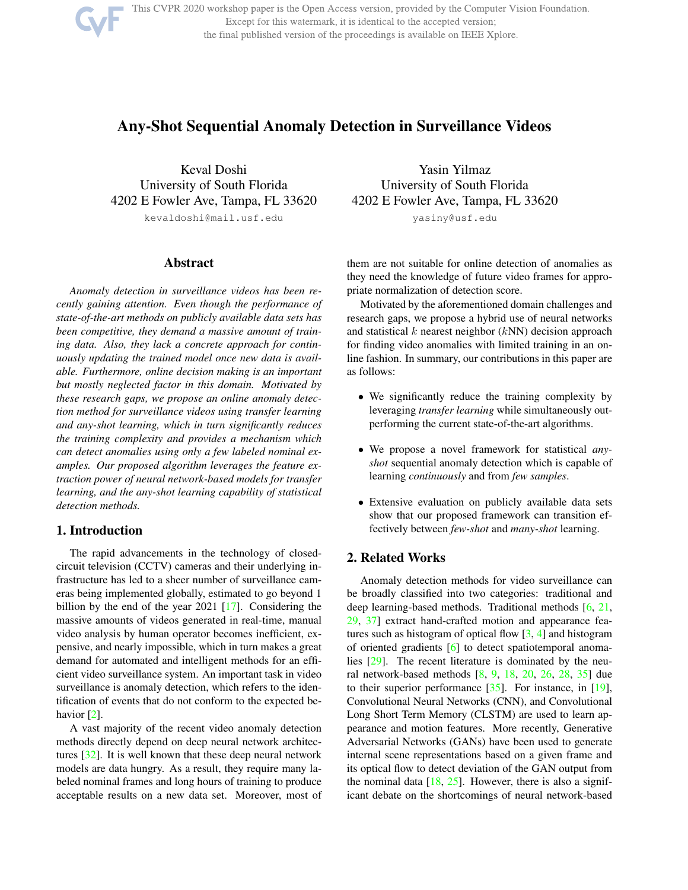This CVPR 2020 workshop paper is the Open Access version, provided by the Computer Vision Foundation. Except for this watermark, it is identical to the accepted version; the final published version of the proceedings is available on IEEE Xplore.

# Any-Shot Sequential Anomaly Detection in Surveillance Videos

Keval Doshi University of South Florida 4202 E Fowler Ave, Tampa, FL 33620 kevaldoshi@mail.usf.edu

# Abstract

*Anomaly detection in surveillance videos has been recently gaining attention. Even though the performance of state-of-the-art methods on publicly available data sets has been competitive, they demand a massive amount of training data. Also, they lack a concrete approach for continuously updating the trained model once new data is available. Furthermore, online decision making is an important but mostly neglected factor in this domain. Motivated by these research gaps, we propose an online anomaly detection method for surveillance videos using transfer learning and any-shot learning, which in turn significantly reduces the training complexity and provides a mechanism which can detect anomalies using only a few labeled nominal examples. Our proposed algorithm leverages the feature extraction power of neural network-based models for transfer learning, and the any-shot learning capability of statistical detection methods.*

# 1. Introduction

The rapid advancements in the technology of closedcircuit television (CCTV) cameras and their underlying infrastructure has led to a sheer number of surveillance cameras being implemented globally, estimated to go beyond 1 billion by the end of the year 2021 [17]. Considering the massive amounts of videos generated in real-time, manual video analysis by human operator becomes inefficient, expensive, and nearly impossible, which in turn makes a great demand for automated and intelligent methods for an efficient video surveillance system. An important task in video surveillance is anomaly detection, which refers to the identification of events that do not conform to the expected behavior [2].

A vast majority of the recent video anomaly detection methods directly depend on deep neural network architectures [32]. It is well known that these deep neural network models are data hungry. As a result, they require many labeled nominal frames and long hours of training to produce acceptable results on a new data set. Moreover, most of

Yasin Yilmaz University of South Florida 4202 E Fowler Ave, Tampa, FL 33620 yasiny@usf.edu

them are not suitable for online detection of anomalies as they need the knowledge of future video frames for appropriate normalization of detection score.

Motivated by the aforementioned domain challenges and research gaps, we propose a hybrid use of neural networks and statistical  $k$  nearest neighbor  $(kNN)$  decision approach for finding video anomalies with limited training in an online fashion. In summary, our contributions in this paper are as follows:

- We significantly reduce the training complexity by leveraging *transfer learning* while simultaneously outperforming the current state-of-the-art algorithms.
- We propose a novel framework for statistical *anyshot* sequential anomaly detection which is capable of learning *continuously* and from *few samples*.
- Extensive evaluation on publicly available data sets show that our proposed framework can transition effectively between *few-shot* and *many-shot* learning.

# 2. Related Works

Anomaly detection methods for video surveillance can be broadly classified into two categories: traditional and deep learning-based methods. Traditional methods [6, 21, 29, 37] extract hand-crafted motion and appearance features such as histogram of optical flow [3, 4] and histogram of oriented gradients [6] to detect spatiotemporal anomalies [29]. The recent literature is dominated by the neural network-based methods [8, 9, 18, 20, 26, 28, 35] due to their superior performance  $[35]$ . For instance, in  $[19]$ , Convolutional Neural Networks (CNN), and Convolutional Long Short Term Memory (CLSTM) are used to learn appearance and motion features. More recently, Generative Adversarial Networks (GANs) have been used to generate internal scene representations based on a given frame and its optical flow to detect deviation of the GAN output from the nominal data  $[18, 25]$ . However, there is also a significant debate on the shortcomings of neural network-based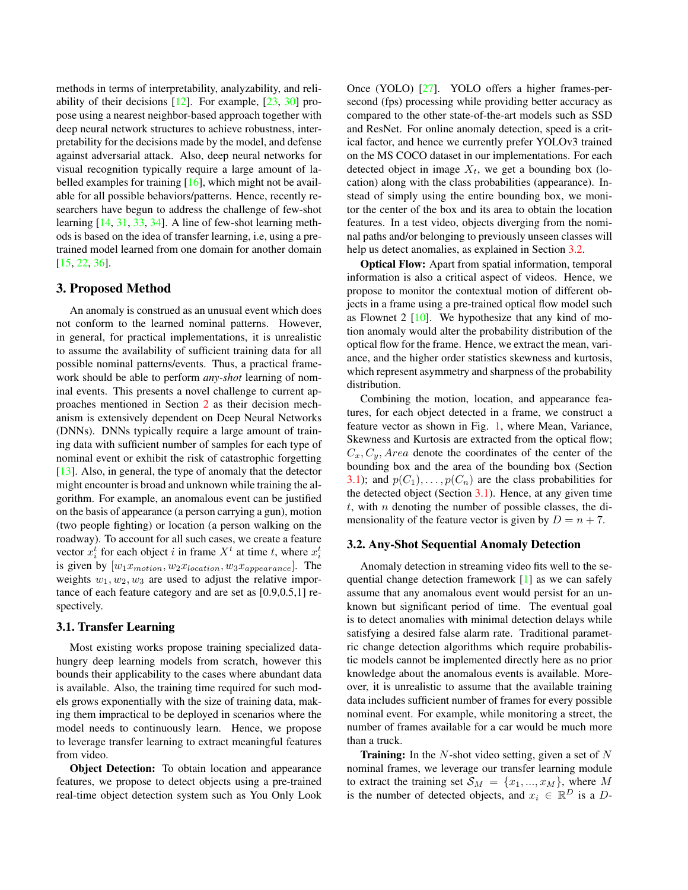methods in terms of interpretability, analyzability, and reliability of their decisions [12]. For example, [23, 30] propose using a nearest neighbor-based approach together with deep neural network structures to achieve robustness, interpretability for the decisions made by the model, and defense against adversarial attack. Also, deep neural networks for visual recognition typically require a large amount of labelled examples for training [16], which might not be available for all possible behaviors/patterns. Hence, recently researchers have begun to address the challenge of few-shot learning [14, 31, 33, 34]. A line of few-shot learning methods is based on the idea of transfer learning, i.e, using a pretrained model learned from one domain for another domain [15, 22, 36].

#### 3. Proposed Method

An anomaly is construed as an unusual event which does not conform to the learned nominal patterns. However, in general, for practical implementations, it is unrealistic to assume the availability of sufficient training data for all possible nominal patterns/events. Thus, a practical framework should be able to perform *any-shot* learning of nominal events. This presents a novel challenge to current approaches mentioned in Section 2 as their decision mechanism is extensively dependent on Deep Neural Networks (DNNs). DNNs typically require a large amount of training data with sufficient number of samples for each type of nominal event or exhibit the risk of catastrophic forgetting [13]. Also, in general, the type of anomaly that the detector might encounter is broad and unknown while training the algorithm. For example, an anomalous event can be justified on the basis of appearance (a person carrying a gun), motion (two people fighting) or location (a person walking on the roadway). To account for all such cases, we create a feature vector  $x_i^t$  for each object i in frame  $X^t$  at time t, where  $x_i^t$ is given by  $[w_1x_{motion}, w_2x_{location}, w_3x_{appearance}]$ . The weights  $w_1, w_2, w_3$  are used to adjust the relative importance of each feature category and are set as [0.9,0.5,1] respectively.

#### 3.1. Transfer Learning

Most existing works propose training specialized datahungry deep learning models from scratch, however this bounds their applicability to the cases where abundant data is available. Also, the training time required for such models grows exponentially with the size of training data, making them impractical to be deployed in scenarios where the model needs to continuously learn. Hence, we propose to leverage transfer learning to extract meaningful features from video.

**Object Detection:** To obtain location and appearance features, we propose to detect objects using a pre-trained real-time object detection system such as You Only Look Once (YOLO) [27]. YOLO offers a higher frames-persecond (fps) processing while providing better accuracy as compared to the other state-of-the-art models such as SSD and ResNet. For online anomaly detection, speed is a critical factor, and hence we currently prefer YOLOv3 trained on the MS COCO dataset in our implementations. For each detected object in image  $X_t$ , we get a bounding box (location) along with the class probabilities (appearance). Instead of simply using the entire bounding box, we monitor the center of the box and its area to obtain the location features. In a test video, objects diverging from the nominal paths and/or belonging to previously unseen classes will help us detect anomalies, as explained in Section 3.2.

Optical Flow: Apart from spatial information, temporal information is also a critical aspect of videos. Hence, we propose to monitor the contextual motion of different objects in a frame using a pre-trained optical flow model such as Flownet 2  $[10]$ . We hypothesize that any kind of motion anomaly would alter the probability distribution of the optical flow for the frame. Hence, we extract the mean, variance, and the higher order statistics skewness and kurtosis, which represent asymmetry and sharpness of the probability distribution.

Combining the motion, location, and appearance features, for each object detected in a frame, we construct a feature vector as shown in Fig. 1, where Mean, Variance, Skewness and Kurtosis are extracted from the optical flow;  $C_x, C_y, Area$  denote the coordinates of the center of the bounding box and the area of the bounding box (Section 3.1); and  $p(C_1), \ldots, p(C_n)$  are the class probabilities for the detected object (Section 3.1). Hence, at any given time  $t$ , with  $n$  denoting the number of possible classes, the dimensionality of the feature vector is given by  $D = n + 7$ .

#### 3.2. Any-Shot Sequential Anomaly Detection

Anomaly detection in streaming video fits well to the sequential change detection framework [1] as we can safely assume that any anomalous event would persist for an unknown but significant period of time. The eventual goal is to detect anomalies with minimal detection delays while satisfying a desired false alarm rate. Traditional parametric change detection algorithms which require probabilistic models cannot be implemented directly here as no prior knowledge about the anomalous events is available. Moreover, it is unrealistic to assume that the available training data includes sufficient number of frames for every possible nominal event. For example, while monitoring a street, the number of frames available for a car would be much more than a truck.

**Training:** In the  $N$ -shot video setting, given a set of  $N$ nominal frames, we leverage our transfer learning module to extract the training set  $S_M = \{x_1, ..., x_M\}$ , where M is the number of detected objects, and  $x_i \in \mathbb{R}^D$  is a D-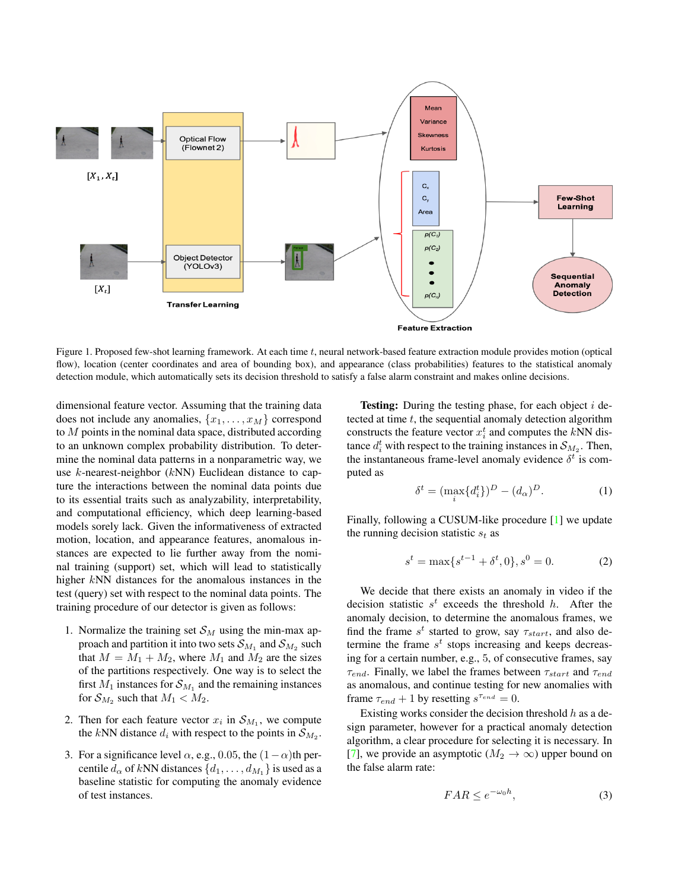

Figure 1. Proposed few-shot learning framework. At each time t, neural network-based feature extraction module provides motion (optical flow), location (center coordinates and area of bounding box), and appearance (class probabilities) features to the statistical anomaly detection module, which automatically sets its decision threshold to satisfy a false alarm constraint and makes online decisions.

dimensional feature vector. Assuming that the training data does not include any anomalies,  $\{x_1, \ldots, x_M\}$  correspond to  $M$  points in the nominal data space, distributed according to an unknown complex probability distribution. To determine the nominal data patterns in a nonparametric way, we use  $k$ -nearest-neighbor ( $kNN$ ) Euclidean distance to capture the interactions between the nominal data points due to its essential traits such as analyzability, interpretability, and computational efficiency, which deep learning-based models sorely lack. Given the informativeness of extracted motion, location, and appearance features, anomalous instances are expected to lie further away from the nominal training (support) set, which will lead to statistically higher kNN distances for the anomalous instances in the test (query) set with respect to the nominal data points. The training procedure of our detector is given as follows:

- 1. Normalize the training set  $\mathcal{S}_M$  using the min-max approach and partition it into two sets  $\mathcal{S}_{M_1}$  and  $\mathcal{S}_{M_2}$  such that  $M = M_1 + M_2$ , where  $M_1$  and  $M_2$  are the sizes of the partitions respectively. One way is to select the first  $M_1$  instances for  $\mathcal{S}_{M_1}$  and the remaining instances for  $\mathcal{S}_{M_2}$  such that  $M_1 < M_2$ .
- 2. Then for each feature vector  $x_i$  in  $S_{M_1}$ , we compute the kNN distance  $d_i$  with respect to the points in  $\mathcal{S}_{M_2}$ .
- 3. For a significance level  $\alpha$ , e.g., 0.05, the  $(1-\alpha)$ th percentile  $d_{\alpha}$  of kNN distances  $\{d_1, \ldots, d_{M_1}\}$  is used as a baseline statistic for computing the anomaly evidence of test instances.

**Testing:** During the testing phase, for each object  $i$  detected at time  $t$ , the sequential anomaly detection algorithm constructs the feature vector  $x_i^t$  and computes the kNN distance  $d_i^t$  with respect to the training instances in  $\mathcal{S}_{M_2}$ . Then, the instantaneous frame-level anomaly evidence  $\delta^t$  is computed as

$$
\delta^t = (\max_i \{d_i^t\})^D - (d_\alpha)^D. \tag{1}
$$

Finally, following a CUSUM-like procedure [1] we update the running decision statistic  $s_t$  as

$$
s^{t} = \max\{s^{t-1} + \delta^{t}, 0\}, s^{0} = 0.
$$
 (2)

We decide that there exists an anomaly in video if the decision statistic  $s^t$  exceeds the threshold h. After the anomaly decision, to determine the anomalous frames, we find the frame  $s^t$  started to grow, say  $\tau_{start}$ , and also determine the frame  $s<sup>t</sup>$  stops increasing and keeps decreasing for a certain number, e.g., 5, of consecutive frames, say  $\tau_{end}$ . Finally, we label the frames between  $\tau_{start}$  and  $\tau_{end}$ as anomalous, and continue testing for new anomalies with frame  $\tau_{end} + 1$  by resetting  $s^{\tau_{end}} = 0$ .

Existing works consider the decision threshold  $h$  as a design parameter, however for a practical anomaly detection algorithm, a clear procedure for selecting it is necessary. In [7], we provide an asymptotic ( $M_2 \rightarrow \infty$ ) upper bound on the false alarm rate:

$$
FAR \le e^{-\omega_0 h},\tag{3}
$$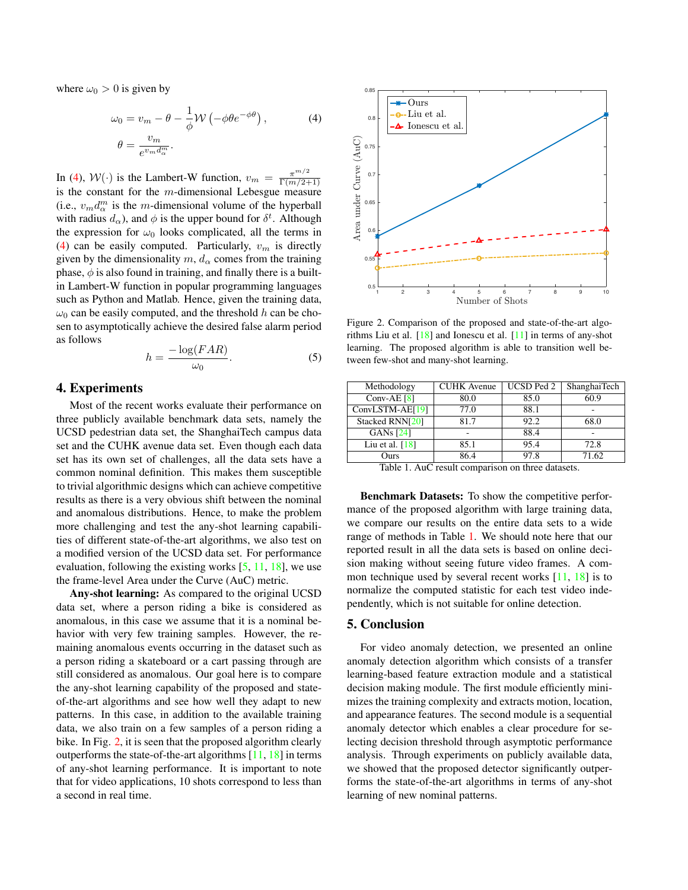where  $\omega_0 > 0$  is given by

$$
\omega_0 = v_m - \theta - \frac{1}{\phi} \mathcal{W} \left( -\phi \theta e^{-\phi \theta} \right),
$$
  

$$
\theta = \frac{v_m}{e^{v_m d_{\alpha}^m}}.
$$
 (4)

In (4),  $W(\cdot)$  is the Lambert-W function,  $v_m = \frac{\pi^{m/2}}{\Gamma(m/2+1)}$ is the constant for the  $m$ -dimensional Lebesgue measure (i.e.,  $v_m d_{\alpha}^m$  is the *m*-dimensional volume of the hyperball with radius  $d_{\alpha}$ ), and  $\phi$  is the upper bound for  $\delta^t$ . Although the expression for  $\omega_0$  looks complicated, all the terms in (4) can be easily computed. Particularly,  $v_m$  is directly given by the dimensionality  $m, d_{\alpha}$  comes from the training phase,  $\phi$  is also found in training, and finally there is a builtin Lambert-W function in popular programming languages such as Python and Matlab. Hence, given the training data,  $\omega_0$  can be easily computed, and the threshold h can be chosen to asymptotically achieve the desired false alarm period as follows

$$
h = \frac{-\log(FAR)}{\omega_0}.
$$
 (5)

# 4. Experiments

Most of the recent works evaluate their performance on three publicly available benchmark data sets, namely the UCSD pedestrian data set, the ShanghaiTech campus data set and the CUHK avenue data set. Even though each data set has its own set of challenges, all the data sets have a common nominal definition. This makes them susceptible to trivial algorithmic designs which can achieve competitive results as there is a very obvious shift between the nominal and anomalous distributions. Hence, to make the problem more challenging and test the any-shot learning capabilities of different state-of-the-art algorithms, we also test on a modified version of the UCSD data set. For performance evaluation, following the existing works  $[5, 11, 18]$ , we use the frame-level Area under the Curve (AuC) metric.

Any-shot learning: As compared to the original UCSD data set, where a person riding a bike is considered as anomalous, in this case we assume that it is a nominal behavior with very few training samples. However, the remaining anomalous events occurring in the dataset such as a person riding a skateboard or a cart passing through are still considered as anomalous. Our goal here is to compare the any-shot learning capability of the proposed and stateof-the-art algorithms and see how well they adapt to new patterns. In this case, in addition to the available training data, we also train on a few samples of a person riding a bike. In Fig. 2, it is seen that the proposed algorithm clearly outperforms the state-of-the-art algorithms  $[11, 18]$  in terms of any-shot learning performance. It is important to note that for video applications, 10 shots correspond to less than a second in real time.



Figure 2. Comparison of the proposed and state-of-the-art algorithms Liu et al. [18] and Ionescu et al. [11] in terms of any-shot learning. The proposed algorithm is able to transition well between few-shot and many-shot learning.

| Methodology       | <b>CUHK</b> Avenue | <b>UCSD Ped 2</b> | <b>ShanghaiTech</b> |
|-------------------|--------------------|-------------------|---------------------|
| Conv-AE $[8]$     | 80.0               | 85.0              | 60.9                |
| $ConvLSTM-AE[19]$ | 77.0               | 88.1              |                     |
| Stacked RNN[20]   | 81.7               | 92.2              | 68.0                |
| <b>GANs</b> [24]  | -                  | 88.4              | -                   |
| Liu et al. $[18]$ | 85.1               | 95.4              | 72.8                |
| Ours              | 86.4               | 97.8              | 71.62               |

Table 1. AuC result comparison on three datasets.

Benchmark Datasets: To show the competitive performance of the proposed algorithm with large training data, we compare our results on the entire data sets to a wide range of methods in Table 1. We should note here that our reported result in all the data sets is based on online decision making without seeing future video frames. A common technique used by several recent works [11, 18] is to normalize the computed statistic for each test video independently, which is not suitable for online detection.

# 5. Conclusion

For video anomaly detection, we presented an online anomaly detection algorithm which consists of a transfer learning-based feature extraction module and a statistical decision making module. The first module efficiently minimizes the training complexity and extracts motion, location, and appearance features. The second module is a sequential anomaly detector which enables a clear procedure for selecting decision threshold through asymptotic performance analysis. Through experiments on publicly available data, we showed that the proposed detector significantly outperforms the state-of-the-art algorithms in terms of any-shot learning of new nominal patterns.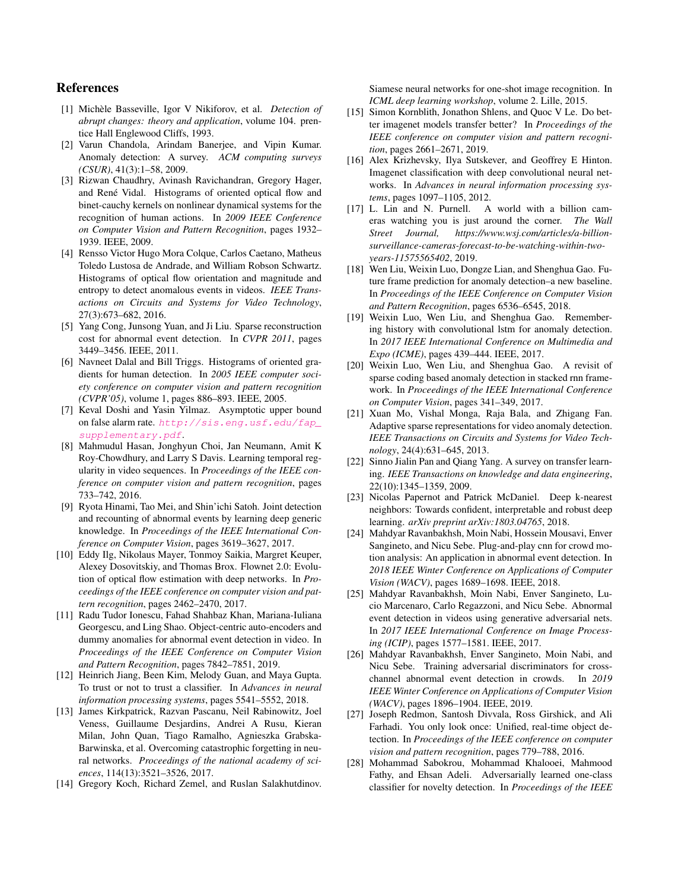# References

- [1] Michele Basseville, Igor V Nikiforov, et al. ` *Detection of abrupt changes: theory and application*, volume 104. prentice Hall Englewood Cliffs, 1993.
- [2] Varun Chandola, Arindam Banerjee, and Vipin Kumar. Anomaly detection: A survey. *ACM computing surveys (CSUR)*, 41(3):1–58, 2009.
- [3] Rizwan Chaudhry, Avinash Ravichandran, Gregory Hager, and René Vidal. Histograms of oriented optical flow and binet-cauchy kernels on nonlinear dynamical systems for the recognition of human actions. In *2009 IEEE Conference on Computer Vision and Pattern Recognition*, pages 1932– 1939. IEEE, 2009.
- [4] Rensso Victor Hugo Mora Colque, Carlos Caetano, Matheus Toledo Lustosa de Andrade, and William Robson Schwartz. Histograms of optical flow orientation and magnitude and entropy to detect anomalous events in videos. *IEEE Transactions on Circuits and Systems for Video Technology*, 27(3):673–682, 2016.
- [5] Yang Cong, Junsong Yuan, and Ji Liu. Sparse reconstruction cost for abnormal event detection. In *CVPR 2011*, pages 3449–3456. IEEE, 2011.
- [6] Navneet Dalal and Bill Triggs. Histograms of oriented gradients for human detection. In *2005 IEEE computer society conference on computer vision and pattern recognition (CVPR'05)*, volume 1, pages 886–893. IEEE, 2005.
- [7] Keval Doshi and Yasin Yilmaz. Asymptotic upper bound on false alarm rate. *http://sis.eng.usf.edu/fap\_ supplementary.pdf*.
- [8] Mahmudul Hasan, Jonghyun Choi, Jan Neumann, Amit K Roy-Chowdhury, and Larry S Davis. Learning temporal regularity in video sequences. In *Proceedings of the IEEE conference on computer vision and pattern recognition*, pages 733–742, 2016.
- [9] Ryota Hinami, Tao Mei, and Shin'ichi Satoh. Joint detection and recounting of abnormal events by learning deep generic knowledge. In *Proceedings of the IEEE International Conference on Computer Vision*, pages 3619–3627, 2017.
- [10] Eddy Ilg, Nikolaus Mayer, Tonmoy Saikia, Margret Keuper, Alexey Dosovitskiy, and Thomas Brox. Flownet 2.0: Evolution of optical flow estimation with deep networks. In *Proceedings of the IEEE conference on computer vision and pattern recognition*, pages 2462–2470, 2017.
- [11] Radu Tudor Ionescu, Fahad Shahbaz Khan, Mariana-Iuliana Georgescu, and Ling Shao. Object-centric auto-encoders and dummy anomalies for abnormal event detection in video. In *Proceedings of the IEEE Conference on Computer Vision and Pattern Recognition*, pages 7842–7851, 2019.
- [12] Heinrich Jiang, Been Kim, Melody Guan, and Maya Gupta. To trust or not to trust a classifier. In *Advances in neural information processing systems*, pages 5541–5552, 2018.
- [13] James Kirkpatrick, Razvan Pascanu, Neil Rabinowitz, Joel Veness, Guillaume Desjardins, Andrei A Rusu, Kieran Milan, John Quan, Tiago Ramalho, Agnieszka Grabska-Barwinska, et al. Overcoming catastrophic forgetting in neural networks. *Proceedings of the national academy of sciences*, 114(13):3521–3526, 2017.
- [14] Gregory Koch, Richard Zemel, and Ruslan Salakhutdinov.

Siamese neural networks for one-shot image recognition. In *ICML deep learning workshop*, volume 2. Lille, 2015.

- [15] Simon Kornblith, Jonathon Shlens, and Quoc V Le. Do better imagenet models transfer better? In *Proceedings of the IEEE conference on computer vision and pattern recognition*, pages 2661–2671, 2019.
- [16] Alex Krizhevsky, Ilya Sutskever, and Geoffrey E Hinton. Imagenet classification with deep convolutional neural networks. In *Advances in neural information processing systems*, pages 1097–1105, 2012.
- [17] L. Lin and N. Purnell. A world with a billion cameras watching you is just around the corner. *The Wall Street Journal, https://www.wsj.com/articles/a-billionsurveillance-cameras-forecast-to-be-watching-within-twoyears-11575565402*, 2019.
- [18] Wen Liu, Weixin Luo, Dongze Lian, and Shenghua Gao. Future frame prediction for anomaly detection–a new baseline. In *Proceedings of the IEEE Conference on Computer Vision and Pattern Recognition*, pages 6536–6545, 2018.
- [19] Weixin Luo, Wen Liu, and Shenghua Gao. Remembering history with convolutional lstm for anomaly detection. In *2017 IEEE International Conference on Multimedia and Expo (ICME)*, pages 439–444. IEEE, 2017.
- [20] Weixin Luo, Wen Liu, and Shenghua Gao. A revisit of sparse coding based anomaly detection in stacked rnn framework. In *Proceedings of the IEEE International Conference on Computer Vision*, pages 341–349, 2017.
- [21] Xuan Mo, Vishal Monga, Raja Bala, and Zhigang Fan. Adaptive sparse representations for video anomaly detection. *IEEE Transactions on Circuits and Systems for Video Technology*, 24(4):631–645, 2013.
- [22] Sinno Jialin Pan and Qiang Yang. A survey on transfer learning. *IEEE Transactions on knowledge and data engineering*, 22(10):1345–1359, 2009.
- [23] Nicolas Papernot and Patrick McDaniel. Deep k-nearest neighbors: Towards confident, interpretable and robust deep learning. *arXiv preprint arXiv:1803.04765*, 2018.
- [24] Mahdyar Ravanbakhsh, Moin Nabi, Hossein Mousavi, Enver Sangineto, and Nicu Sebe. Plug-and-play cnn for crowd motion analysis: An application in abnormal event detection. In *2018 IEEE Winter Conference on Applications of Computer Vision (WACV)*, pages 1689–1698. IEEE, 2018.
- [25] Mahdyar Ravanbakhsh, Moin Nabi, Enver Sangineto, Lucio Marcenaro, Carlo Regazzoni, and Nicu Sebe. Abnormal event detection in videos using generative adversarial nets. In *2017 IEEE International Conference on Image Processing (ICIP)*, pages 1577–1581. IEEE, 2017.
- [26] Mahdyar Ravanbakhsh, Enver Sangineto, Moin Nabi, and Nicu Sebe. Training adversarial discriminators for crosschannel abnormal event detection in crowds. In *2019 IEEE Winter Conference on Applications of Computer Vision (WACV)*, pages 1896–1904. IEEE, 2019.
- [27] Joseph Redmon, Santosh Divvala, Ross Girshick, and Ali Farhadi. You only look once: Unified, real-time object detection. In *Proceedings of the IEEE conference on computer vision and pattern recognition*, pages 779–788, 2016.
- [28] Mohammad Sabokrou, Mohammad Khalooei, Mahmood Fathy, and Ehsan Adeli. Adversarially learned one-class classifier for novelty detection. In *Proceedings of the IEEE*